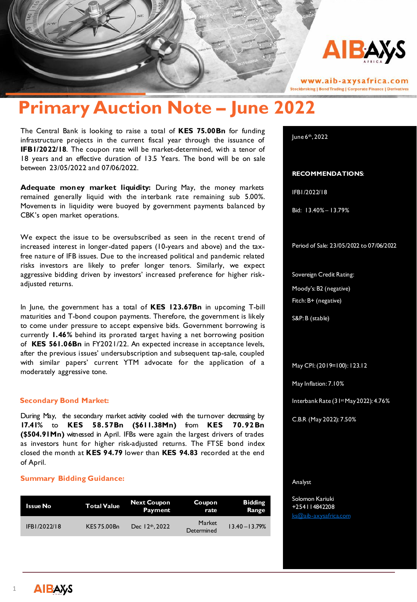

www.aib-axysafrica.com **Stockbroking | Bond Trading | Corporate Finance | Derivatives** 

# **Primary Auction Note – June 2022**

The Central Bank is looking to raise a total of **KES 75.00Bn** for funding infrastructure projects in the current fiscal year through the issuance of **IFB1/2022/18**. The coupon rate will be market-determined, with a tenor of 18 years and an effective duration of 13.5 Years. The bond will be on sale between 23/05/2022 and 07/06/2022.

**Adequate money market liquidity:** During May, the money markets remained generally liquid with the interbank rate remaining sub 5.00%. Movements in liquidity were buoyed by government payments balanced by CBK's open market operations.

We expect the issue to be oversubscribed as seen in the recent trend of increased interest in longer-dated papers (10-years and above) and the taxfree nature of IFB issues. Due to the increased political and pandemic related risks investors are likely to prefer longer tenors. Similarly, we expect aggressive bidding driven by investors' increased preference for higher riskadjusted returns.

In June, the government has a total of **KES 123.67Bn** in upcoming T-bill maturities and T-bond coupon payments. Therefore, the government is likely to come under pressure to accept expensive bids. Government borrowing is currently **1.46%** behind its prorated target having a net borrowing position of **KES 561.06Bn** in FY2021/22. An expected increase in acceptance levels, after the previous issues' undersubscription and subsequent tap-sale, coupled with similar papers' current YTM advocate for the application of a moderately aggressive tone.

## **Secondary Bond Market:**

During May, the secondary market activity cooled with the turnover decreasing by **17.41%** to **KES 58.57Bn (\$611.38Mn)** from **KES 70.92Bn (\$504.91Mn)** witnessed in April. IFBs were again the largest drivers of trades as investors hunt for higher risk-adjusted returns. The FTSE bond index closed the month at **KES 94.79** lower than **KES 94.83** recorded at the end of April.

## **Summary Bidding Guidance:**

| Issue No     | <b>Total Value</b> | <b>Next Coupon</b><br>Payment | Coupon<br>rate              | <b>Bidding</b><br>Range |
|--------------|--------------------|-------------------------------|-----------------------------|-------------------------|
| IFB1/2022/18 | KES 75.00Bn        | Dec 12 <sup>th</sup> , 2022   | <b>Market</b><br>Determined | $13.40 - 13.79%$        |

June 6th, 2022

## **RECOMMENDATIONS**:

IFB1/2022/18

Bid: 13.40% – 13.79%

Period of Sale: 23/05/2022 to 07/06/2022

Sovereign Credit Rating:

Moody's: B2 (negative)

Fitch: B+ (negative)

S&P: B (stable)

## May CPI: (2019=100): 123.12

May Inflation: 7.10%

Interbank Rate (31st May 2022): 4.76%

C.B.R (May 2022): 7.50%

#### Analyst

Solomon Kariuki +254114842208 [ks@aib-axysafrica.com](mailto:ks@aib-axysafrica.com)

1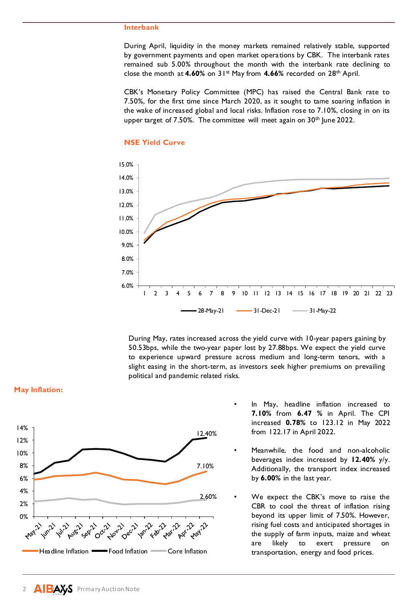## **Interbank**

During April, liquidity in the money markets remained relatively stable, supported by government payments and open market operations by CBK. The interbank rates remained sub 5.00% throughout the month with the interbank rate declining to close the month at **4.60%** on 31st May from **4.66%** recorded on 28th April.

CBK's Monetary Policy Committee (MPC) has raised the Central Bank rate to 7.50%, for the first time since March 2020, as it sought to tame soaring inflation in the wake of increased global and local risks. Inflation rose to 7.10%, closing in on its upper target of  $7.50\%$ . The committee will meet again on  $30<sup>th</sup>$  June 2022.



## **NSE Yield Curve**

During May, rates increased across the yield curve with 10-year papers gaining by 50.53bps, while the two-year paper lost by 27.88bps. We expect the yield curve to experience upward pressure across medium and long-term tenors, with a slight easing in the short-term, as investors seek higher premiums on prevailing political and pandemic related risks.



**May Inflation:**

- In May, headline inflation increased to **7.10%** from **6.47 %** in April. The CPI increased **0.78%** to 123.12 in May 2022 from 122.17 in April 2022.
- Meanwhile, the food and non-alcoholic beverages index increased by **12.40%** y/y. Additionally, the transport index increased by **6.00%** in the last year.
- We expect the CBK's move to raise the CBR to cool the threat of inflation rising beyond its upper limit of 7.50%. However, rising fuel costs and anticipated shortages in the supply of farm inputs, maize and wheat are likely to exert pressure on transportation, energy and food prices.